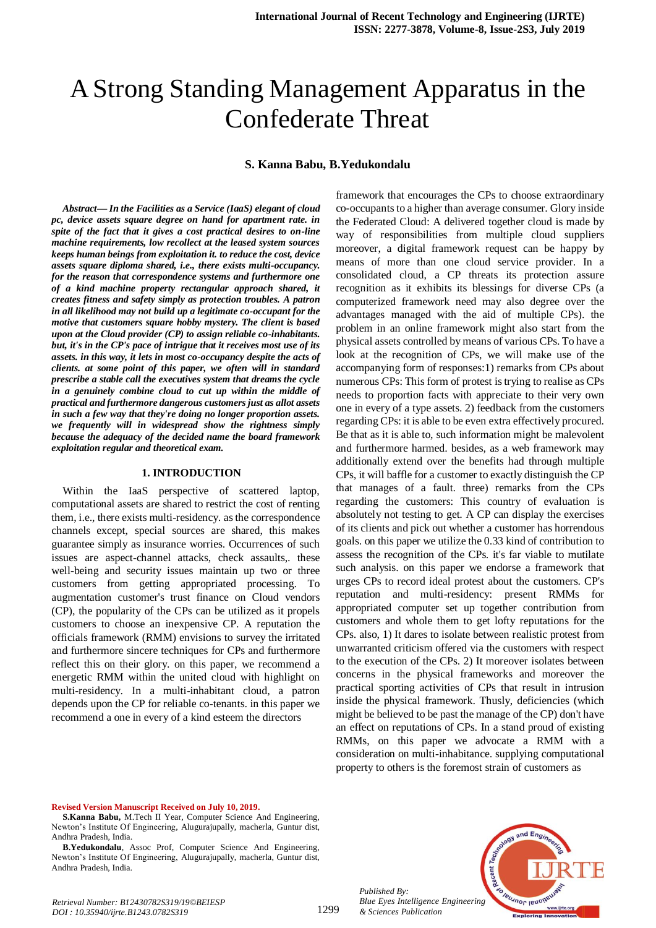# A Strong Standing Management Apparatus in the Confederate Threat

## **S. Kanna Babu, B.Yedukondalu**

*Abstract***—** *In the Facilities as a Service (IaaS) elegant of cloud pc, device assets square degree on hand for apartment rate. in spite of the fact that it gives a cost practical desires to on-line machine requirements, low recollect at the leased system sources keeps human beings from exploitation it. to reduce the cost, device assets square diploma shared, i.e., there exists multi-occupancy. for the reason that correspondence systems and furthermore one of a kind machine property rectangular approach shared, it creates fitness and safety simply as protection troubles. A patron in all likelihood may not build up a legitimate co-occupant for the motive that customers square hobby mystery. The client is based upon at the Cloud provider (CP) to assign reliable co-inhabitants. but, it's in the CP's pace of intrigue that it receives most use of its assets. in this way, it lets in most co-occupancy despite the acts of clients. at some point of this paper, we often will in standard prescribe a stable call the executives system that dreams the cycle in a genuinely combine cloud to cut up within the middle of practical and furthermore dangerous customers just as allot assets in such a few way that they're doing no longer proportion assets. we frequently will in widespread show the rightness simply because the adequacy of the decided name the board framework exploitation regular and theoretical exam.*

#### **1. INTRODUCTION**

Within the IaaS perspective of scattered laptop, computational assets are shared to restrict the cost of renting them, i.e., there exists multi-residency. as the correspondence channels except, special sources are shared, this makes guarantee simply as insurance worries. Occurrences of such issues are aspect-channel attacks, check assaults,. these well-being and security issues maintain up two or three customers from getting appropriated processing. To augmentation customer's trust finance on Cloud vendors (CP), the popularity of the CPs can be utilized as it propels customers to choose an inexpensive CP. A reputation the officials framework (RMM) envisions to survey the irritated and furthermore sincere techniques for CPs and furthermore reflect this on their glory. on this paper, we recommend a energetic RMM within the united cloud with highlight on multi-residency. In a multi-inhabitant cloud, a patron depends upon the CP for reliable co-tenants. in this paper we recommend a one in every of a kind esteem the directors

framework that encourages the CPs to choose extraordinary co-occupants to a higher than average consumer. Glory inside the Federated Cloud: A delivered together cloud is made by way of responsibilities from multiple cloud suppliers moreover, a digital framework request can be happy by means of more than one cloud service provider. In a consolidated cloud, a CP threats its protection assure recognition as it exhibits its blessings for diverse CPs (a computerized framework need may also degree over the advantages managed with the aid of multiple CPs). the problem in an online framework might also start from the physical assets controlled by means of various CPs. To have a look at the recognition of CPs, we will make use of the accompanying form of responses:1) remarks from CPs about numerous CPs: This form of protest is trying to realise as CPs needs to proportion facts with appreciate to their very own one in every of a type assets. 2) feedback from the customers regarding CPs: it is able to be even extra effectively procured. Be that as it is able to, such information might be malevolent and furthermore harmed. besides, as a web framework may additionally extend over the benefits had through multiple CPs, it will baffle for a customer to exactly distinguish the CP that manages of a fault. three) remarks from the CPs regarding the customers: This country of evaluation is absolutely not testing to get. A CP can display the exercises of its clients and pick out whether a customer has horrendous goals. on this paper we utilize the 0.33 kind of contribution to assess the recognition of the CPs. it's far viable to mutilate such analysis. on this paper we endorse a framework that urges CPs to record ideal protest about the customers. CP's reputation and multi-residency: present RMMs for appropriated computer set up together contribution from customers and whole them to get lofty reputations for the CPs. also, 1) It dares to isolate between realistic protest from unwarranted criticism offered via the customers with respect to the execution of the CPs. 2) It moreover isolates between concerns in the physical frameworks and moreover the practical sporting activities of CPs that result in intrusion inside the physical framework. Thusly, deficiencies (which might be believed to be past the manage of the CP) don't have an effect on reputations of CPs. In a stand proud of existing RMMs, on this paper we advocate a RMM with a consideration on multi-inhabitance. supplying computational property to others is the foremost strain of customers as

#### **Revised Version Manuscript Received on July 10, 2019.**

**S.Kanna Babu,** M.Tech II Year, Computer Science And Engineering, Newton's Institute Of Engineering, Alugurajupally, macherla, Guntur dist, Andhra Pradesh, India.

*Retrieval Number: B12430782S319/19©BEIESP DOI : 10.35940/ijrte.B1243.0782S319*

*Published By:*



**B.Yedukondalu**, Assoc Prof, Computer Science And Engineering, Newton's Institute Of Engineering, Alugurajupally, macherla, Guntur dist, Andhra Pradesh, India.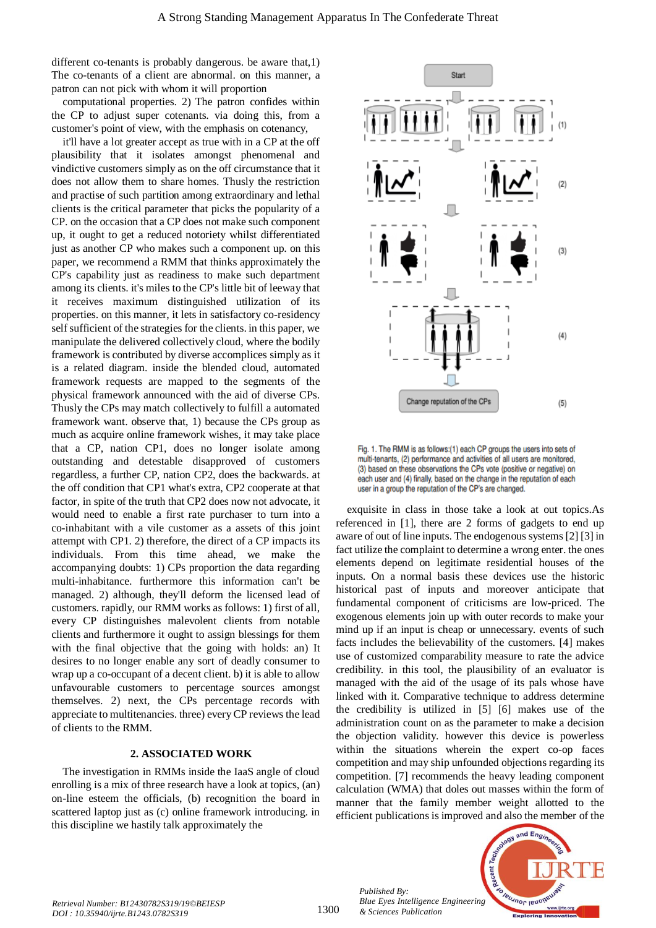different co-tenants is probably dangerous. be aware that,1) The co-tenants of a client are abnormal. on this manner, a patron can not pick with whom it will proportion

computational properties. 2) The patron confides within the CP to adjust super cotenants. via doing this, from a customer's point of view, with the emphasis on cotenancy,

it'll have a lot greater accept as true with in a CP at the off plausibility that it isolates amongst phenomenal and vindictive customers simply as on the off circumstance that it does not allow them to share homes. Thusly the restriction and practise of such partition among extraordinary and lethal clients is the critical parameter that picks the popularity of a CP. on the occasion that a CP does not make such component up, it ought to get a reduced notoriety whilst differentiated just as another CP who makes such a component up. on this paper, we recommend a RMM that thinks approximately the CP's capability just as readiness to make such department among its clients. it's miles to the CP's little bit of leeway that it receives maximum distinguished utilization of its properties. on this manner, it lets in satisfactory co-residency self sufficient of the strategies for the clients. in this paper, we manipulate the delivered collectively cloud, where the bodily framework is contributed by diverse accomplices simply as it is a related diagram. inside the blended cloud, automated framework requests are mapped to the segments of the physical framework announced with the aid of diverse CPs. Thusly the CPs may match collectively to fulfill a automated framework want. observe that, 1) because the CPs group as much as acquire online framework wishes, it may take place that a CP, nation CP1, does no longer isolate among outstanding and detestable disapproved of customers regardless, a further CP, nation CP2, does the backwards. at the off condition that CP1 what's extra, CP2 cooperate at that factor, in spite of the truth that CP2 does now not advocate, it would need to enable a first rate purchaser to turn into a co-inhabitant with a vile customer as a assets of this joint attempt with CP1. 2) therefore, the direct of a CP impacts its individuals. From this time ahead, we make the accompanying doubts: 1) CPs proportion the data regarding multi-inhabitance. furthermore this information can't be managed. 2) although, they'll deform the licensed lead of customers. rapidly, our RMM works as follows: 1) first of all, every CP distinguishes malevolent clients from notable clients and furthermore it ought to assign blessings for them with the final objective that the going with holds: an) It desires to no longer enable any sort of deadly consumer to wrap up a co-occupant of a decent client. b) it is able to allow unfavourable customers to percentage sources amongst themselves. 2) next, the CPs percentage records with appreciate to multitenancies. three) every CP reviews the lead of clients to the RMM.

#### **2. ASSOCIATED WORK**

The investigation in RMMs inside the IaaS angle of cloud enrolling is a mix of three research have a look at topics, (an) on-line esteem the officials, (b) recognition the board in scattered laptop just as (c) online framework introducing. in this discipline we hastily talk approximately the



Fig. 1. The RMM is as follows:(1) each CP groups the users into sets of multi-tenants, (2) performance and activities of all users are monitored, (3) based on these observations the CPs vote (positive or negative) on each user and (4) finally, based on the change in the reputation of each user in a group the reputation of the CP's are changed.

exquisite in class in those take a look at out topics.As referenced in [1], there are 2 forms of gadgets to end up aware of out of line inputs. The endogenous systems [2] [3] in fact utilize the complaint to determine a wrong enter. the ones elements depend on legitimate residential houses of the inputs. On a normal basis these devices use the historic historical past of inputs and moreover anticipate that fundamental component of criticisms are low-priced. The exogenous elements join up with outer records to make your mind up if an input is cheap or unnecessary. events of such facts includes the believability of the customers. [4] makes use of customized comparability measure to rate the advice credibility. in this tool, the plausibility of an evaluator is managed with the aid of the usage of its pals whose have linked with it. Comparative technique to address determine the credibility is utilized in [5] [6] makes use of the administration count on as the parameter to make a decision the objection validity. however this device is powerless within the situations wherein the expert co-op faces competition and may ship unfounded objections regarding its competition. [7] recommends the heavy leading component calculation (WMA) that doles out masses within the form of manner that the family member weight allotted to the efficient publications is improved and also the member of the



*Retrieval Number: B12430782S319/19©BEIESP DOI : 10.35940/ijrte.B1243.0782S319*

*Published By:*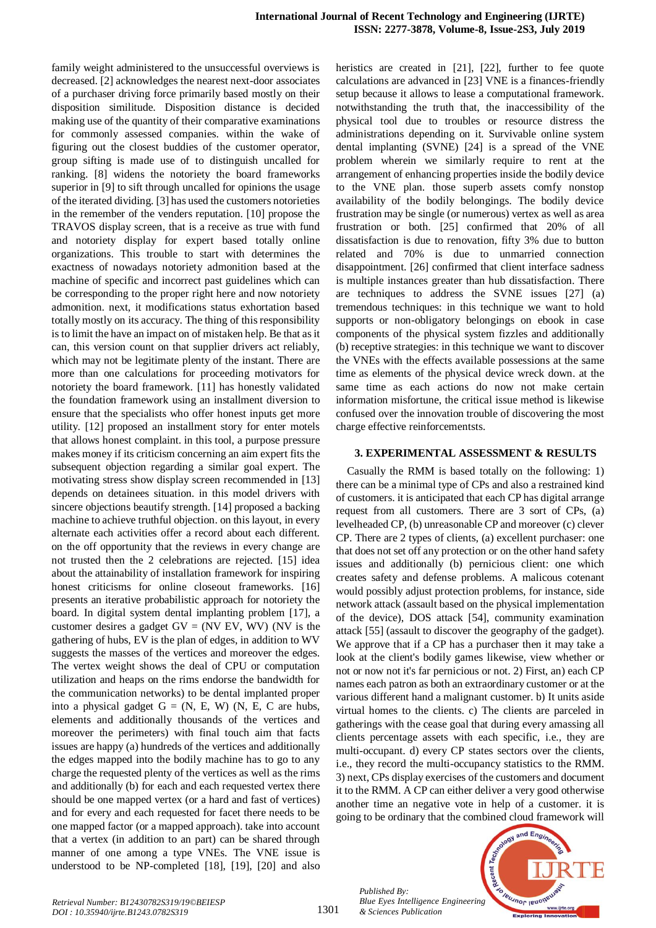family weight administered to the unsuccessful overviews is decreased. [2] acknowledges the nearest next-door associates of a purchaser driving force primarily based mostly on their disposition similitude. Disposition distance is decided making use of the quantity of their comparative examinations for commonly assessed companies. within the wake of figuring out the closest buddies of the customer operator, group sifting is made use of to distinguish uncalled for ranking. [8] widens the notoriety the board frameworks superior in [9] to sift through uncalled for opinions the usage of the iterated dividing. [3] has used the customers notorieties in the remember of the venders reputation. [10] propose the TRAVOS display screen, that is a receive as true with fund and notoriety display for expert based totally online organizations. This trouble to start with determines the exactness of nowadays notoriety admonition based at the machine of specific and incorrect past guidelines which can be corresponding to the proper right here and now notoriety admonition. next, it modifications status exhortation based totally mostly on its accuracy. The thing of this responsibility is to limit the have an impact on of mistaken help. Be that as it can, this version count on that supplier drivers act reliably, which may not be legitimate plenty of the instant. There are more than one calculations for proceeding motivators for notoriety the board framework. [11] has honestly validated the foundation framework using an installment diversion to ensure that the specialists who offer honest inputs get more utility. [12] proposed an installment story for enter motels that allows honest complaint. in this tool, a purpose pressure makes money if its criticism concerning an aim expert fits the subsequent objection regarding a similar goal expert. The motivating stress show display screen recommended in [13] depends on detainees situation. in this model drivers with sincere objections beautify strength. [14] proposed a backing machine to achieve truthful objection. on this layout, in every alternate each activities offer a record about each different. on the off opportunity that the reviews in every change are not trusted then the 2 celebrations are rejected. [15] idea about the attainability of installation framework for inspiring honest criticisms for online closeout frameworks. [16] presents an iterative probabilistic approach for notoriety the board. In digital system dental implanting problem [17], a customer desires a gadget  $GV = (NV \tEV, WV)$  (NV is the gathering of hubs, EV is the plan of edges, in addition to WV suggests the masses of the vertices and moreover the edges. The vertex weight shows the deal of CPU or computation utilization and heaps on the rims endorse the bandwidth for the communication networks) to be dental implanted proper into a physical gadget  $G = (N, E, W)$  (N, E, C are hubs, elements and additionally thousands of the vertices and moreover the perimeters) with final touch aim that facts issues are happy (a) hundreds of the vertices and additionally the edges mapped into the bodily machine has to go to any charge the requested plenty of the vertices as well as the rims and additionally (b) for each and each requested vertex there should be one mapped vertex (or a hard and fast of vertices) and for every and each requested for facet there needs to be one mapped factor (or a mapped approach). take into account that a vertex (in addition to an part) can be shared through manner of one among a type VNEs. The VNE issue is understood to be NP-completed [18], [19], [20] and also heristics are created in [21], [22], further to fee quote calculations are advanced in [23] VNE is a finances-friendly setup because it allows to lease a computational framework. notwithstanding the truth that, the inaccessibility of the physical tool due to troubles or resource distress the administrations depending on it. Survivable online system dental implanting (SVNE) [24] is a spread of the VNE problem wherein we similarly require to rent at the arrangement of enhancing properties inside the bodily device to the VNE plan. those superb assets comfy nonstop availability of the bodily belongings. The bodily device frustration may be single (or numerous) vertex as well as area frustration or both. [25] confirmed that 20% of all dissatisfaction is due to renovation, fifty 3% due to button related and 70% is due to unmarried connection disappointment. [26] confirmed that client interface sadness is multiple instances greater than hub dissatisfaction. There are techniques to address the SVNE issues [27] (a) tremendous techniques: in this technique we want to hold supports or non-obligatory belongings on ebook in case components of the physical system fizzles and additionally (b) receptive strategies: in this technique we want to discover the VNEs with the effects available possessions at the same time as elements of the physical device wreck down. at the same time as each actions do now not make certain information misfortune, the critical issue method is likewise confused over the innovation trouble of discovering the most charge effective reinforcementsts.

#### **3. EXPERIMENTAL ASSESSMENT & RESULTS**

Casually the RMM is based totally on the following: 1) there can be a minimal type of CPs and also a restrained kind of customers. it is anticipated that each CP has digital arrange request from all customers. There are 3 sort of CPs, (a) levelheaded CP, (b) unreasonable CP and moreover (c) clever CP. There are 2 types of clients, (a) excellent purchaser: one that does not set off any protection or on the other hand safety issues and additionally (b) pernicious client: one which creates safety and defense problems. A malicous cotenant would possibly adjust protection problems, for instance, side network attack (assault based on the physical implementation of the device), DOS attack [54], community examination attack [55] (assault to discover the geography of the gadget). We approve that if a CP has a purchaser then it may take a look at the client's bodily games likewise, view whether or not or now not it's far pernicious or not. 2) First, an) each CP names each patron as both an extraordinary customer or at the various different hand a malignant customer. b) It units aside virtual homes to the clients. c) The clients are parceled in gatherings with the cease goal that during every amassing all clients percentage assets with each specific, i.e., they are multi-occupant. d) every CP states sectors over the clients, i.e., they record the multi-occupancy statistics to the RMM. 3) next, CPs display exercises of the customers and document it to the RMM. A CP can either deliver a very good otherwise another time an negative vote in help of a customer. it is going to be ordinary that the combined cloud framework will



*Published By: Blue Eyes Intelligence Engineering & Sciences Publication*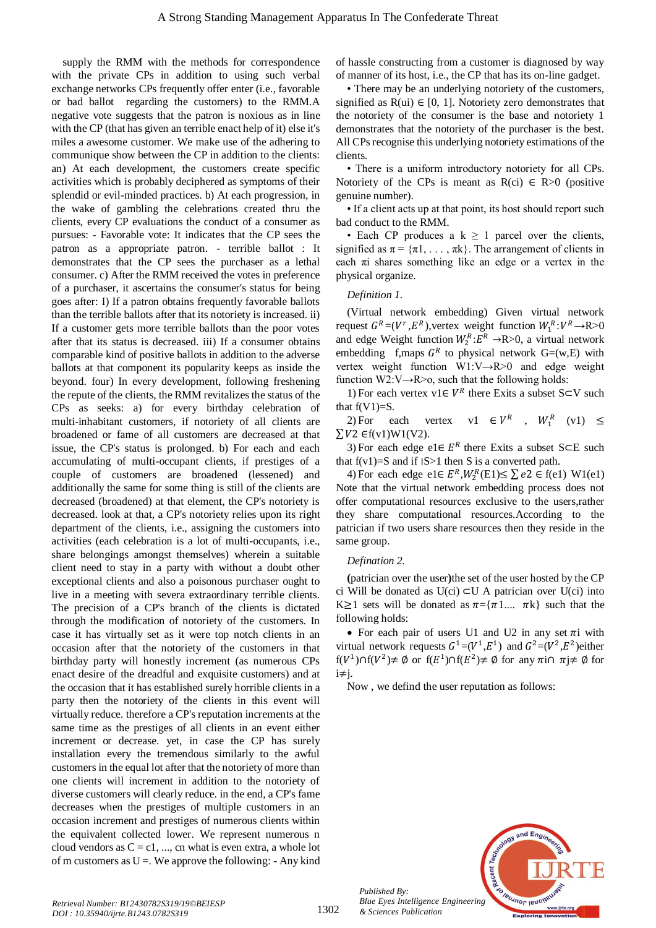supply the RMM with the methods for correspondence with the private CPs in addition to using such verbal exchange networks CPs frequently offer enter (i.e., favorable or bad ballot regarding the customers) to the RMM.A negative vote suggests that the patron is noxious as in line with the CP (that has given an terrible enact help of it) else it's miles a awesome customer. We make use of the adhering to communique show between the CP in addition to the clients: an) At each development, the customers create specific activities which is probably deciphered as symptoms of their splendid or evil-minded practices. b) At each progression, in the wake of gambling the celebrations created thru the clients, every CP evaluations the conduct of a consumer as pursues: - Favorable vote: It indicates that the CP sees the patron as a appropriate patron. - terrible ballot : It demonstrates that the CP sees the purchaser as a lethal consumer. c) After the RMM received the votes in preference of a purchaser, it ascertains the consumer's status for being goes after: I) If a patron obtains frequently favorable ballots than the terrible ballots after that its notoriety is increased. ii) If a customer gets more terrible ballots than the poor votes after that its status is decreased. iii) If a consumer obtains comparable kind of positive ballots in addition to the adverse ballots at that component its popularity keeps as inside the beyond. four) In every development, following freshening the repute of the clients, the RMM revitalizes the status of the CPs as seeks: a) for every birthday celebration of multi-inhabitant customers, if notoriety of all clients are broadened or fame of all customers are decreased at that issue, the CP's status is prolonged. b) For each and each accumulating of multi-occupant clients, if prestiges of a couple of customers are broadened (lessened) and additionally the same for some thing is still of the clients are decreased (broadened) at that element, the CP's notoriety is decreased. look at that, a CP's notoriety relies upon its right department of the clients, i.e., assigning the customers into activities (each celebration is a lot of multi-occupants, i.e., share belongings amongst themselves) wherein a suitable client need to stay in a party with without a doubt other exceptional clients and also a poisonous purchaser ought to live in a meeting with severa extraordinary terrible clients. The precision of a CP's branch of the clients is dictated through the modification of notoriety of the customers. In case it has virtually set as it were top notch clients in an occasion after that the notoriety of the customers in that birthday party will honestly increment (as numerous CPs enact desire of the dreadful and exquisite customers) and at the occasion that it has established surely horrible clients in a party then the notoriety of the clients in this event will virtually reduce. therefore a CP's reputation increments at the same time as the prestiges of all clients in an event either increment or decrease. yet, in case the CP has surely installation every the tremendous similarly to the awful customers in the equal lot after that the notoriety of more than one clients will increment in addition to the notoriety of diverse customers will clearly reduce. in the end, a CP's fame decreases when the prestiges of multiple customers in an occasion increment and prestiges of numerous clients within the equivalent collected lower. We represent numerous n cloud vendors as  $C = c1$ , ..., cn what is even extra, a whole lot of m customers as  $U =$ . We approve the following: - Any kind

of hassle constructing from a customer is diagnosed by way of manner of its host, i.e., the CP that has its on-line gadget.

• There may be an underlying notoriety of the customers, signified as  $R(u) \in [0, 1]$ . Notoriety zero demonstrates that the notoriety of the consumer is the base and notoriety 1 demonstrates that the notoriety of the purchaser is the best. All CPs recognise this underlying notoriety estimations of the clients.

• There is a uniform introductory notoriety for all CPs. Notoriety of the CPs is meant as  $R(ci) \in R > 0$  (positive genuine number).

• If a client acts up at that point, its host should report such bad conduct to the RMM.

• Each CP produces a  $k \geq 1$  parcel over the clients, signified as  $\pi = {\pi1, \dots, \pik}$ . The arrangement of clients in each  $\pi i$  shares something like an edge or a vertex in the physical organize.

## *Definition 1*.

(Virtual network embedding) Given virtual network request  $G^R = (V^r, E^R)$ , vertex weight function  $W_1^R : V^R \to \mathbb{R} > 0$ and edge Weight function  $W_2^R$ : $E^R \rightarrow R$  > 0, a virtual network embedding f,maps  $G<sup>R</sup>$  to physical network  $G=(w,E)$  with vertex weight function W1:V→R>0 and edge weight function W2:V $\rightarrow$ R $\geq$ o, such that the following holds:

1) For each vertex v1∈  $V^R$  there Exits a subset S⊂V such that  $f(V1)=S$ .

2) For each vertex v1  $\in V^R$  $, W_1^R$  $(v1) \leq$  $ΣV2 \epsilon f(v1)W1(V2)$ .

3) For each edge e1∈  $E^R$  there Exits a subset S⊂E such that  $f(v1)=S$  and if  $|S>1$  then S is a converted path.

4) For each edge e1 $\in E^R$ ,  $W_2^R$ (E1) $\leq \sum e^2 \in f(e1)$  W1(e1) Note that the virtual network embedding process does not offer computational resources exclusive to the users,rather they share computational resources.According to the patrician if two users share resources then they reside in the same group.

## *Defination 2.*

**(**patrician over the user**)**the set of the user hosted by the CP ci Will be donated as  $U(ci) \subset U$  A patrician over  $U(ci)$  into K 
ightarrow 1 sets will be donated as  $\pi = \{\pi 1, \ldots, \pi k\}$  such that the following holds:

• For each pair of users U1 and U2 in any set  $\pi i$  with virtual network requests  $G^1=(V^1,E^1)$  and  $G^2=(V^2,E^2)$ either  $f(V^1) \cap f(V^2) \neq \emptyset$  or  $f(E^1) \cap f(E^2) \neq \emptyset$  for any  $\pi i \cap \pi j \neq \emptyset$  for  $i \neq j$ .

Now , we defind the user reputation as follows:



*Published By:*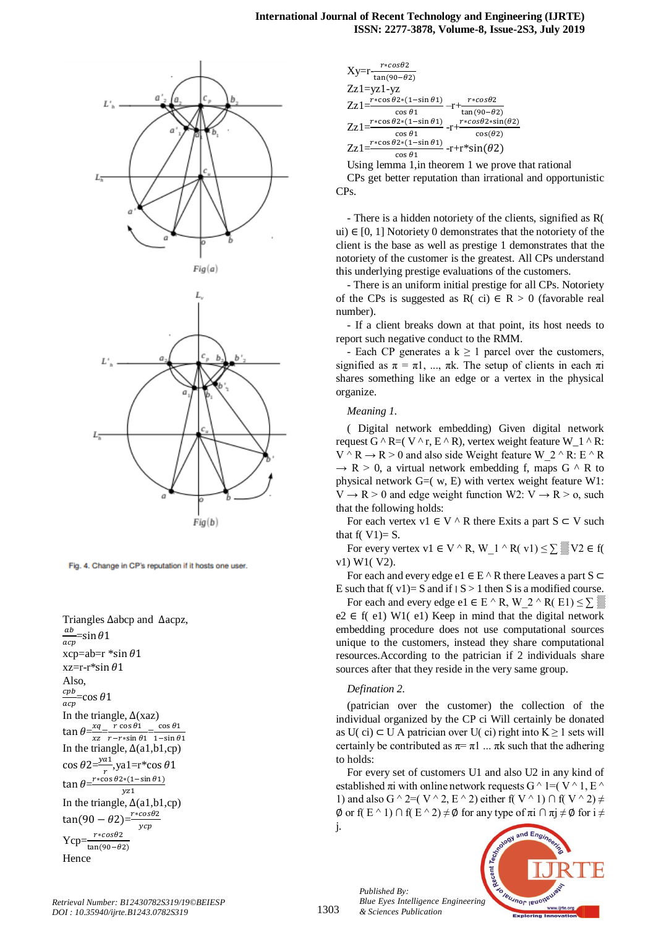

Fig. 4. Change in CP's reputation if it hosts one user.

Triangles  $\Delta$ abcp and  $\Delta$ acpz,  $\boldsymbol{a}\boldsymbol{b}$  $acn$ =sin  $\theta$ 1 xcp=ab= $r$  \*sin  $\theta$ 1  $xz=r*sin \theta 1$ Also,  $cpb$ acp  $=\cos \theta 1$ In the triangle,  $\Delta$ (xaz)  $\tan \theta = \frac{xq}{\sqrt{q}} = \frac{r \cos \theta}{r \sin \theta} = \frac{c}{1}$  $xz$   $r-r*sin \theta1$  1 In the triangle,  $\Delta$ (a1,b1,cp)  $\cos \theta 2=\frac{y}{x}$  $\frac{a_1}{r}$ , ya 1 = r\*c  $\tan \theta$  $r * cos \theta 2 * (1 - sin \theta 1)$  $vz1$ In the triangle,  $\Delta$ (a1,b1,cp)  $tan(90 - \theta 2) = \frac{r}{2}$  $\mathcal{Y}$  $Ycp=\frac{r}{\tan}$ Hence



Using lemma 1,in theorem 1 we prove that rational

CPs get better reputation than irrational and opportunistic CPs.

- There is a hidden notoriety of the clients, signified as R( ui) ∈ [0, 1] Notoriety 0 demonstrates that the notoriety of the client is the base as well as prestige 1 demonstrates that the notoriety of the customer is the greatest. All CPs understand this underlying prestige evaluations of the customers.

- There is an uniform initial prestige for all CPs. Notoriety of the CPs is suggested as R( ci)  $\in$  R > 0 (favorable real number).

- If a client breaks down at that point, its host needs to report such negative conduct to the RMM.

- Each CP generates a  $k \ge 1$  parcel over the customers, signified as  $\pi = \pi 1$ , ...,  $\pi k$ . The setup of clients in each  $\pi i$ shares something like an edge or a vertex in the physical organize.

#### *Meaning 1.*

( Digital network embedding) Given digital network request G  $^{\wedge}$  R=( V  $^{\wedge}$  r, E  $^{\wedge}$  R), vertex weight feature W 1  $^{\wedge}$  R:  $V \land R \rightarrow R > 0$  and also side Weight feature W 2  $\land$  R: E  $\land$  R  $\rightarrow$  R > 0, a virtual network embedding f, maps G  $\land$  R to physical network  $G=(w, E)$  with vertex weight feature W1:  $V \rightarrow R > 0$  and edge weight function W2:  $V \rightarrow R > 0$ , such that the following holds:

For each vertex v1  $\in$  V  $\wedge$  R there Exits a part S  $\subset$  V such that  $f(V1)=S$ .

For every vertex v1 ∈ V  $\wedge$  R, W 1  $\wedge$  R( v1)  $\leq$   $\sum$   $\mathbb{R}$ V2 ∈ f( v1) W1( V2).

For each and every edge e1  $\in$  E  $\land$  R there Leaves a part S  $\subset$ E such that  $f(v1)= S$  and if  $|S| > 1$  then S is a modified course.

For each and every edge e1  $\in$  E  $\land$  R, W  $2 \land$  R( E1)  $\leq$   $\sum$   $\equiv$  $e2 \in f(e1)$  W1(e1) Keep in mind that the digital network embedding procedure does not use computational sources unique to the customers, instead they share computational resources.According to the patrician if 2 individuals share sources after that they reside in the very same group.

#### *Defination 2.*

*Published By:*

*& Sciences Publication* 

(patrician over the customer) the collection of the individual organized by the CP ci Will certainly be donated as U(ci)  $\subset$  U A patrician over U(ci) right into K  $\geq$  1 sets will certainly be contributed as  $\pi = \pi 1$  ...  $\pi k$  such that the adhering to holds:

For every set of customers U1 and also U2 in any kind of established  $\pi$ i with online network requests G  $\land$  1=( V  $\land$  1, E  $\land$ 1) and also G ^ 2=( V ^ 2, E ^ 2) either f( V ^ 1)  $\cap$  f( V ^ 2)  $\neq$  $\emptyset$  or f( E ^ 1)  $\cap$  f( E ^ 2)  $\neq \emptyset$  for any type of  $\pi i \cap \pi j \neq \emptyset$  for  $i \neq$ 



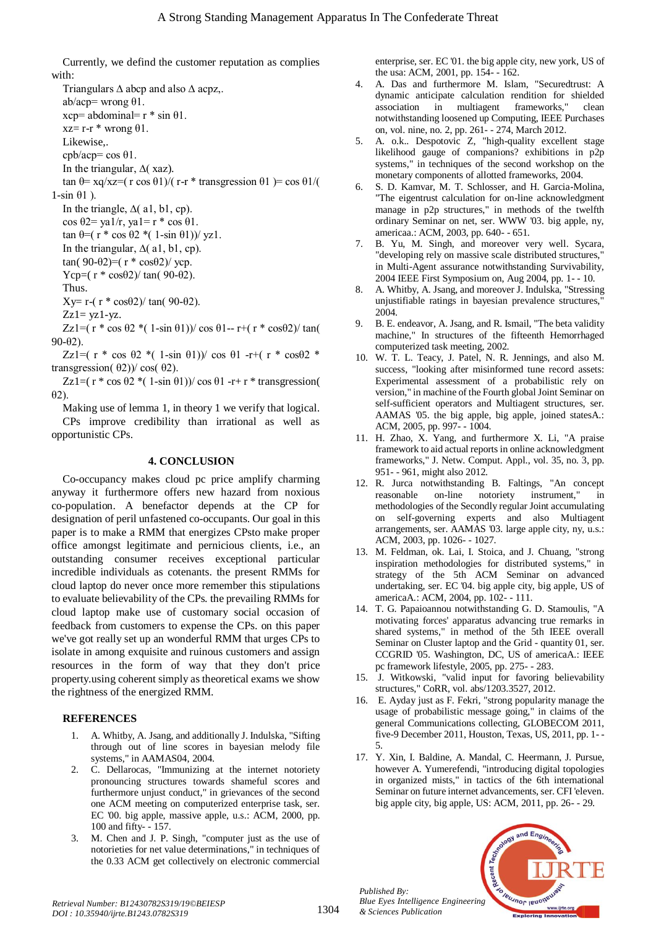Currently, we defind the customer reputation as complies with:

Triangulars ∆ abcp and also ∆ acpz,. ab/acp= wrong  $\theta$ 1.  $xcp=$  abdominal=  $r * sin \theta1$ .  $xz=$  r-r  $*$  wrong  $\theta$ 1. Likewise,. cpb/acp= cos θ1. In the triangular, ∆( xaz). tan  $\theta$ = xq/xz=( r cos  $\theta$ 1)/( r-r \* transgression  $\theta$ 1) = cos  $\theta$ 1/(  $1$ -sin  $\theta$ 1). In the triangle,  $\Delta$ ( a1, b1, cp). cos  $\theta$ 2= ya1/r, ya1= r \* cos  $\theta$ 1. tan  $\theta = (r * \cos \theta 2 * (1 - \sin \theta 1)) / \text{yz1}.$ In the triangular,  $\Delta$ (al, bl, cp). tan(90-θ2)=( $r * cosθ2$ )/ ycp. Ycp= $(r * cos \theta^2)/ tan(90-\theta^2)$ . Thus. Xy= r-( $r * cosθ2$ )/ tan(90-θ2).  $Zz1 = yz1 - yz$ .

Zz1=( r \* cos θ2 \*( 1-sin θ1))/ cos θ1-- r+( r \* cosθ2)/ tan( 90-θ2).

Zz1=( r \* cos  $\theta$ 2 \*( 1-sin  $\theta$ 1))/ cos  $\theta$ 1 -r+( r \* cos $\theta$ 2 \* transgression( $θ$ 2))/ cos( $θ$ 2).

Zz1= $(r * cos \theta 2 * (1-sin \theta 1)) / cos \theta 1 - r + r * transgression($ θ2).

Making use of lemma 1, in theory 1 we verify that logical. CPs improve credibility than irrational as well as opportunistic CPs.

## **4. CONCLUSION**

Co-occupancy makes cloud pc price amplify charming anyway it furthermore offers new hazard from noxious co-population. A benefactor depends at the CP for designation of peril unfastened co-occupants. Our goal in this paper is to make a RMM that energizes CPsto make proper office amongst legitimate and pernicious clients, i.e., an outstanding consumer receives exceptional particular incredible individuals as cotenants. the present RMMs for cloud laptop do never once more remember this stipulations to evaluate believability of the CPs. the prevailing RMMs for cloud laptop make use of customary social occasion of feedback from customers to expense the CPs. on this paper we've got really set up an wonderful RMM that urges CPs to isolate in among exquisite and ruinous customers and assign resources in the form of way that they don't price property.using coherent simply as theoretical exams we show the rightness of the energized RMM.

## **REFERENCES**

- 1. A. Whitby, A. Jsang, and additionally J. Indulska, "Sifting through out of line scores in bayesian melody file systems," in AAMAS04, 2004.
- 2. C. Dellarocas, "Immunizing at the internet notoriety pronouncing structures towards shameful scores and furthermore unjust conduct," in grievances of the second one ACM meeting on computerized enterprise task, ser. EC '00. big apple, massive apple, u.s.: ACM, 2000, pp. 100 and fifty- - 157.
- 3. M. Chen and J. P. Singh, "computer just as the use of notorieties for net value determinations," in techniques of the 0.33 ACM get collectively on electronic commercial

enterprise, ser. EC '01. the big apple city, new york, US of the usa: ACM, 2001, pp. 154- - 162.

- 4. A. Das and furthermore M. Islam, "Securedtrust: A dynamic anticipate calculation rendition for shielded association in multiagent frameworks," clean notwithstanding loosened up Computing, IEEE Purchases on, vol. nine, no. 2, pp. 261- - 274, March 2012.
- 5. A. o.k.. Despotovic Z, "high-quality excellent stage likelihood gauge of companions? exhibitions in p2p systems," in techniques of the second workshop on the monetary components of allotted frameworks, 2004.
- 6. S. D. Kamvar, M. T. Schlosser, and H. Garcia-Molina, "The eigentrust calculation for on-line acknowledgment manage in p2p structures," in methods of the twelfth ordinary Seminar on net, ser. WWW '03. big apple, ny, americaa.: ACM, 2003, pp. 640- - 651.
- 7. B. Yu, M. Singh, and moreover very well. Sycara, "developing rely on massive scale distributed structures," in Multi-Agent assurance notwithstanding Survivability, 2004 IEEE First Symposium on, Aug 2004, pp. 1- - 10.
- 8. A. Whitby, A. Jsang, and moreover J. Indulska, "Stressing unjustifiable ratings in bayesian prevalence structures," 2004.
- 9. B. E. endeavor, A. Jsang, and R. Ismail, "The beta validity machine," In structures of the fifteenth Hemorrhaged computerized task meeting, 2002.
- 10. W. T. L. Teacy, J. Patel, N. R. Jennings, and also M. success, "looking after misinformed tune record assets: Experimental assessment of a probabilistic rely on version," in machine of the Fourth global Joint Seminar on self-sufficient operators and Multiagent structures, ser. AAMAS '05. the big apple, big apple, joined statesA.: ACM, 2005, pp. 997- - 1004.
- 11. H. Zhao, X. Yang, and furthermore X. Li, "A praise framework to aid actual reports in online acknowledgment frameworks," J. Netw. Comput. Appl., vol. 35, no. 3, pp. 951- - 961, might also 2012.
- 12. R. Jurca notwithstanding B. Faltings, "An concept reasonable on-line notoriety instrument," in methodologies of the Secondly regular Joint accumulating on self-governing experts and also Multiagent arrangements, ser. AAMAS '03. large apple city, ny, u.s.: ACM, 2003, pp. 1026- - 1027.
- 13. M. Feldman, ok. Lai, I. Stoica, and J. Chuang, "strong inspiration methodologies for distributed systems," in strategy of the 5th ACM Seminar on advanced undertaking, ser. EC '04. big apple city, big apple, US of americaA.: ACM, 2004, pp. 102- - 111.
- 14. T. G. Papaioannou notwithstanding G. D. Stamoulis, "A motivating forces' apparatus advancing true remarks in shared systems," in method of the 5th IEEE overall Seminar on Cluster laptop and the Grid - quantity 01, ser. CCGRID '05. Washington, DC, US of americaA.: IEEE pc framework lifestyle, 2005, pp. 275- - 283.
- 15. J. Witkowski, "valid input for favoring believability structures," CoRR, vol. abs/1203.3527, 2012.
- 16. E. Ayday just as F. Fekri, "strong popularity manage the usage of probabilistic message going," in claims of the general Communications collecting, GLOBECOM 2011, five-9 December 2011, Houston, Texas, US, 2011, pp. 1- - 5.
- 17. Y. Xin, I. Baldine, A. Mandal, C. Heermann, J. Pursue, however A. Yumerefendi, "introducing digital topologies in organized mists," in tactics of the 6th international Seminar on future internet advancements, ser. CFI 'eleven. big apple city, big apple, US: ACM, 2011, pp. 26- - 29.



*Retrieval Number: B12430782S319/19©BEIESP DOI : 10.35940/ijrte.B1243.0782S319*

*Published By:*